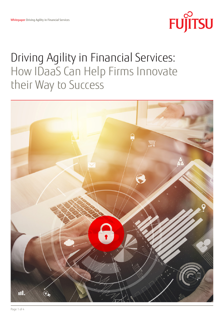

# Driving Agility in Financial Services: How IDaaS Can Help Firms Innovate their Way to Success

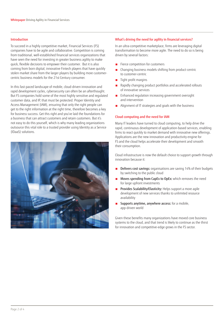#### Introduction

To succeed in a highly competitive market, Financial Services (FS) companies have to be agile and collaborative. Competition is coming from traditional, well-established financial services organizations that have seen the need for investing in greater business agility to make quick, flexible decisions to empower their customer. But it is also coming from born digital, innovative Fintech players that have quickly stolen market share from the larger players by building more customercentric business models for the 21st Century consumer.

In this fast-paced landscape of mobile, cloud-driven innovation and rapid development cycles, cybersecurity can often be an afterthought. But FS companies hold some of the most highly sensitive and regulated customer data, and IP, that must be protected. Proper Identity and Access Management (IAM), ensuring that only the right people can get to the right information at the right time, therefore becomes a key for business success. Get this right and you've laid the foundations for a business that can attract customers and retain customers. But it's not easy to do this yourself, which is why many leading organizations outsource this vital role to a trusted provider using Identity as a Service (IDaaS) solutions.



## What's driving the need for agility in financial services?

In an ultra-competitive marketplace, firms are leveraging digital transformation to become more agile. The need to do so is being driven by several factors:

- Fierce competition for customers
- Changing business models shifting from product-centric to customer-centric
- Tight profit margins
- Rapidly changing product portfolios and accelerated rollouts of innovative services
- Enhanced regulation increasing government oversight and intervention
- Alignment of IT strategies and goals with the business

## Cloud computing and the need for IAM

Many IT leaders have turned to cloud computing, to help drive the rapid, continuous development of application-based services, enabling firms to react quickly to market demand with innovative new offerings. Applications are the new innovation and productivity engine for FS and the cloud helps accelerate their development and smooth their consumption.

Cloud infrastructure is now the default choice to support growth through innovation because it:

- Delivers cost savings: organisations are saving 14% of their budgets by switching to the public cloud
- Moves spending from CapEx to OpEx: which removes the need for large upfront investments
- Provides Scalability/Elasticity: Helps support a more agile development of new services thanks to unlimited resource availability
- Supports anytime, anywhere access: for a mobile, app-driven world

Given these benefits many organizations have moved core business systems to the cloud, and that trend is likely to continue as the thirst for innovation and competitive-edge grows in the FS sector.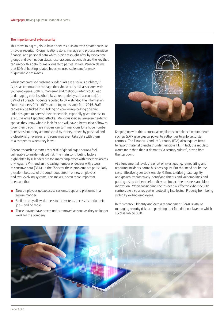## The importance of cybersecurity

This move to digital, cloud-based services puts an even greater pressure on cyber security. FS organizations store, manage and process sensitive financial and personal data which is highly sought-after by cybercrime groups and even nation states. User account credentials are the key that can unlock this data for malicious third parties. In fact, Verizon claims that 80% of hacking-related breaches used stolen and/or weak or guessable passwords.

Whilst compromised customer credentials are a serious problem, it is just as important to manage the cybersecurity risk associated with your employees. Both human error and malicious intent could lead to damaging data loss/theft. Mistakes made by staff accounted for 62% of all breach incidents reported to UK watchdog the Information Commissioner's Office (ICO), according to research from 2016. Staff can easily be tricked into clicking on convincing-looking phishing links designed to harvest their credentials, especially given the rise in executive email spoofing attacks. Malicious insiders are even harder to spot as they know what to look for and will have a better idea of how to cover their tracks. These insiders can turn malicious for a huge number of reasons but many are motivated by money, others by personal and professional grievances, and some may even take data with them to a competitor when they leave.

Recent research estimates that 90% of global organisations feel vulnerable to insider-related risk. The main contributing factors highlighted by IT leaders are too many employees with excessive access privileges (37%), and an increasing number of devices with access to sensitive data (36%). In the FS sector these problems are particularly prevalent because of the continuous stream of new employees and ever-evolving systems. This makes it even more important to ensure that:

- New employees get access to systems, apps and platforms in a secure manner
- Staff are only allowed access to the systems necessary to do their job — and no more
- Those leaving have access rights removed as soon as they no longer work for the company



Keeping up with this is crucial as regulatory compliance requirements such as GDPR give greater power to authorities to enforce stricter controls. The Financial Conduct Authority (FCA) also requires firms to report "material breaches" under Principle 11. In fact, the regulator wants more than that: it demands "a security culture", driven from the top down.

At a fundamental level, the effort of investigating, remediating and reporting incidents harms business agility. But that need not be the case. Effective cyber-tools enable FS firms to drive greater agility and growth by proactively identifying threats and vulnerabilities and putting a stop to them before they can impact the business and block innovation. When considering the insider risk effective cyber security controls are also a key part of protecting Intellectual Property from being stolen by exiting employees.

In this context, Identity and Access management (IAM) is vital to managing security risks and providing that foundational layer on which success can be built.